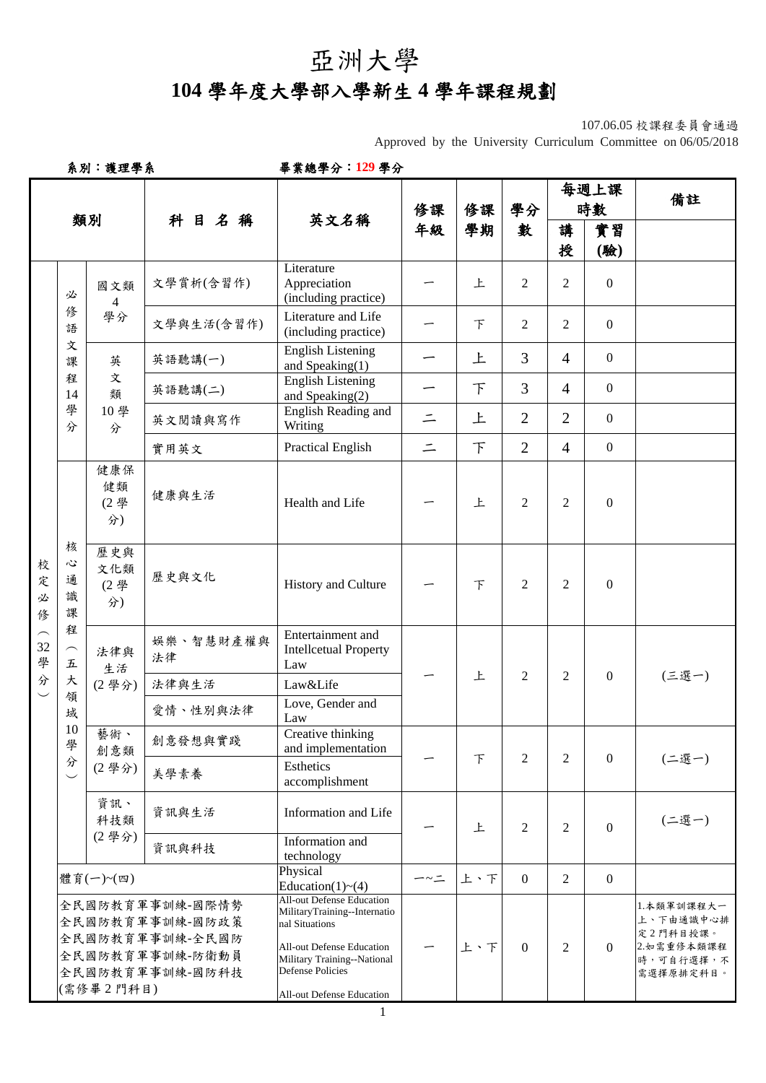## 亞洲大學

## **104** 學年度大學部入學新生 **4** 學年課程規劃

107.06.05 校課程委員會通過

Approved by the University Curriculum Committee on 06/05/2018

| 系別:護理學系                            |                                                                                             |                         |                                                                             | 畢業總學分:129學分                                                                                                                                                                      |          |        |                  |                |                  |                                                                             |
|------------------------------------|---------------------------------------------------------------------------------------------|-------------------------|-----------------------------------------------------------------------------|----------------------------------------------------------------------------------------------------------------------------------------------------------------------------------|----------|--------|------------------|----------------|------------------|-----------------------------------------------------------------------------|
|                                    |                                                                                             |                         |                                                                             |                                                                                                                                                                                  | 修課       | 修課     | 學分               |                | 每週上課<br>時數       | 備註                                                                          |
|                                    |                                                                                             | 類別                      | 科目名稱                                                                        | 英文名稱                                                                                                                                                                             | 年級       | 學期     | 數                | 講<br>授         | 實習<br>(驗)        |                                                                             |
|                                    | 必                                                                                           | 國文類<br>$\overline{4}$   | 文學賞析(含習作)                                                                   | Literature<br>Appreciation<br>(including practice)                                                                                                                               |          | 上      | $\overline{2}$   | $\overline{2}$ | $\mathbf{0}$     |                                                                             |
|                                    | 俢<br>語                                                                                      | 學分                      | 文學與生活(含習作)                                                                  | Literature and Life<br>(including practice)                                                                                                                                      |          | F      | 2                | $\overline{2}$ | $\boldsymbol{0}$ |                                                                             |
|                                    | 文<br>課                                                                                      | 英                       | 英語聽講(一)                                                                     | <b>English Listening</b><br>and Speaking(1)                                                                                                                                      |          | 上      | 3                | $\overline{4}$ | $\mathbf{0}$     |                                                                             |
|                                    | 程<br>14                                                                                     | 文<br>類                  | 英語聽講(二)                                                                     | <b>English Listening</b><br>and Speaking(2)                                                                                                                                      |          | $\top$ | 3                | $\overline{4}$ | $\overline{0}$   |                                                                             |
|                                    | 學<br>分                                                                                      | 10學<br>分                | 英文閱讀與寫作                                                                     | English Reading and<br>Writing                                                                                                                                                   | $\equiv$ | 上      | $\overline{2}$   | 2              | $\mathbf{0}$     |                                                                             |
|                                    |                                                                                             |                         | 實用英文                                                                        | <b>Practical English</b>                                                                                                                                                         | $\equiv$ | $\top$ | $\overline{2}$   | $\overline{4}$ | $\boldsymbol{0}$ |                                                                             |
|                                    |                                                                                             | 健康保<br>健類<br>(2學<br>分)  | 健康與生活                                                                       | Health and Life                                                                                                                                                                  |          | 上      | $\overline{2}$   | 2              | $\mathbf{0}$     |                                                                             |
| 校<br>定<br>必<br>俢                   | 核<br>心<br>通<br>識<br>課                                                                       | 歷史與<br>文化類<br>(2學<br>分) | 歷史與文化                                                                       | History and Culture                                                                                                                                                              |          | 下      | $\overline{2}$   | 2              | $\mathbf{0}$     |                                                                             |
| $\widehat{\phantom{m}}$<br>32<br>學 | 程<br>$\frown$<br>$\ensuremath{\mathcal{L}}$                                                 | 法律與<br>生活               | Entertainment and<br>娱樂、智慧財產權與<br><b>Intellcetual Property</b><br>法律<br>Law |                                                                                                                                                                                  |          |        |                  |                |                  |                                                                             |
| 分<br>$\smile$                      | 大                                                                                           | (2學分)                   | 法律與生活                                                                       | Law&Life                                                                                                                                                                         |          | 上      | $\overline{2}$   | 2              | $\boldsymbol{0}$ | (三選一)                                                                       |
|                                    | 領<br>域                                                                                      |                         | 愛情、性別與法律                                                                    | Love, Gender and<br>Law                                                                                                                                                          |          |        |                  |                |                  |                                                                             |
|                                    | $10\,$<br>學                                                                                 | 藝術、<br>創意類              | 創意發想與實踐                                                                     | Creative thinking<br>and implementation                                                                                                                                          |          |        |                  |                |                  |                                                                             |
|                                    | 分<br>$\overline{\phantom{0}}$                                                               | (2學分)                   | 美學素養                                                                        | Esthetics<br>accomplishment                                                                                                                                                      |          | $\top$ | $\overline{2}$   | 2              | $\boldsymbol{0}$ | (二選一)                                                                       |
|                                    |                                                                                             | 資訊、<br>科技類              | 資訊與生活                                                                       | Information and Life                                                                                                                                                             |          | 上      | 2                | 2              | $\boldsymbol{0}$ | (二選一)                                                                       |
|                                    |                                                                                             | (2學分)                   | Information and<br>資訊與科技<br>technology                                      |                                                                                                                                                                                  |          |        |                  |                |                  |                                                                             |
|                                    |                                                                                             | 體育(一)~(四)               |                                                                             | Physical<br>Education(1) $\sim$ (4)                                                                                                                                              | ー~二      | 上、下    | $\Omega$         | $\overline{2}$ | $\boldsymbol{0}$ |                                                                             |
|                                    | 全民國防教育軍事訓練-國際情勢<br>全民國防教育軍事訓練-國防政策<br>全民國防教育軍事訓練-全民國防<br>全民國防教育軍事訓練-防衛動員<br>全民國防教育軍事訓練-國防科技 |                         |                                                                             | <b>All-out Defense Education</b><br>MilitaryTraining--Internatio<br>nal Situations<br><b>All-out Defense Education</b><br>Military Training--National<br><b>Defense Policies</b> |          | 上、下    | $\boldsymbol{0}$ | 2              | $\Omega$         | 1.本類軍訓課程大一<br>上、下由通識中心排<br>定2門科目授課。<br>2.如需重修本類課程<br>時,可自行選擇,不<br>需選擇原排定科目。 |
|                                    |                                                                                             | (需修畢2門科目)               |                                                                             | All-out Defense Education                                                                                                                                                        |          |        |                  |                |                  |                                                                             |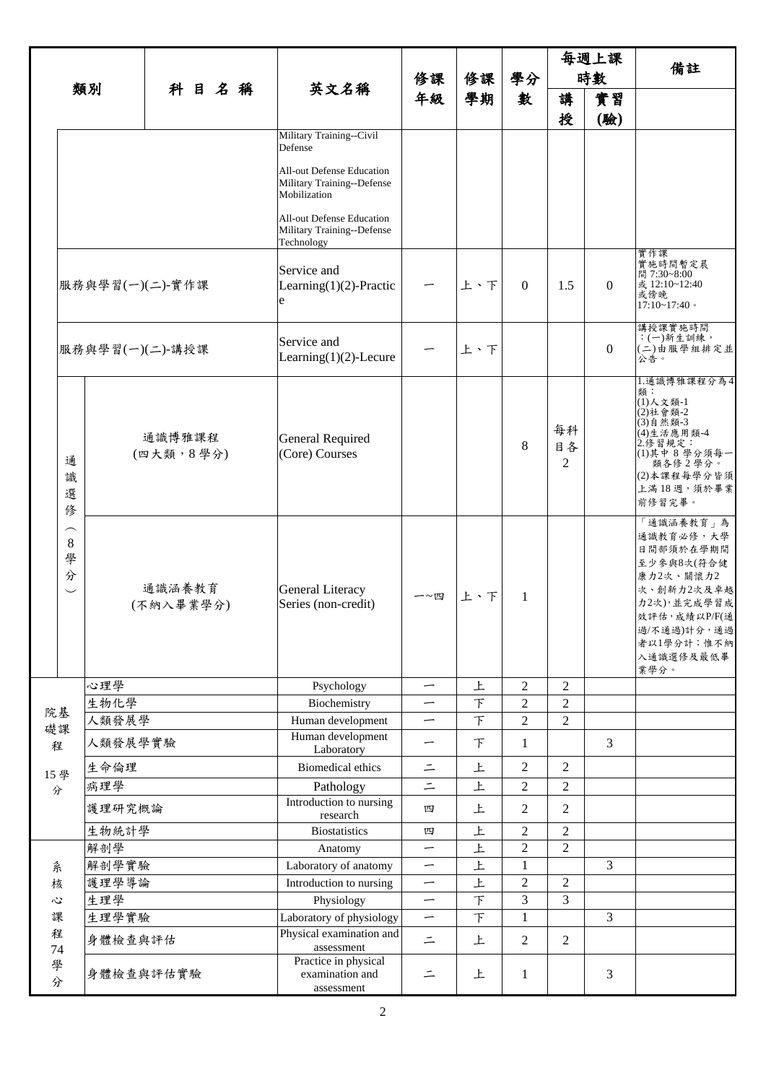| 類別                                                 |                              |                     |                     |    |                                                       |                                                                         |                                  | 每週上課           |                |                |          |                                                                                                                                                               |
|----------------------------------------------------|------------------------------|---------------------|---------------------|----|-------------------------------------------------------|-------------------------------------------------------------------------|----------------------------------|----------------|----------------|----------------|----------|---------------------------------------------------------------------------------------------------------------------------------------------------------------|
|                                                    |                              |                     |                     | 修課 | 修課                                                    | 學分                                                                      | 時數                               |                | 備註             |                |          |                                                                                                                                                               |
|                                                    |                              |                     | 科目名稱                |    | 英文名稱                                                  | 年級                                                                      | 學期                               | 數              | 講              | 實習             |          |                                                                                                                                                               |
|                                                    |                              |                     |                     |    |                                                       |                                                                         |                                  |                |                | 授              | (驗)      |                                                                                                                                                               |
|                                                    |                              |                     |                     |    |                                                       | Military Training--Civil<br>Defense                                     |                                  |                |                |                |          |                                                                                                                                                               |
|                                                    |                              |                     |                     |    |                                                       | All-out Defense Education<br>Military Training--Defense<br>Mobilization |                                  |                |                |                |          |                                                                                                                                                               |
|                                                    |                              |                     |                     |    |                                                       | All-out Defense Education<br>Military Training--Defense<br>Technology   |                                  |                |                |                |          |                                                                                                                                                               |
|                                                    |                              | 服務與學習(一)(二)-實作課     |                     |    |                                                       | Service and<br>Learning $(1)(2)$ -Practic<br>e                          |                                  | 上、下            | $\Omega$       | 1.5            | $\Omega$ | 實作課<br>實施時間暫定晨<br>間 7:30~8:00<br>或 12:10~12:40<br>或傍晚<br>$17:10 - 17:40$                                                                                      |
|                                                    |                              | 服務與學習(一)(二)-講授課     |                     |    |                                                       | Service and<br>Learning $(1)(2)$ -Lecure                                |                                  | 上、下            |                |                | 0        | 講授課實施時間<br>: (一)新生訓練,<br>(二)由服學組排定並<br>公告。                                                                                                                    |
|                                                    | 通<br>識<br>選<br>俢             | 通識博雅課程<br>(四大類,8學分) |                     |    |                                                       | General Required<br>(Core) Courses                                      |                                  |                | 8              | 每科<br>目各<br>2  |          | 1.通識博雅課程分為4<br>類:<br>(1)人文類-1<br>(2)社會類-2<br>(3)自然類-3<br>(4)生活應用類-4<br>2. 修習規定:<br>(1)其中 8 學分須每一<br>類各修2學分。<br>(2)本課程每學分皆須<br>上滿18週,須於畢業<br>前修習完畢。            |
|                                                    | ⌒<br>8<br>學<br>分<br>$\smile$ |                     | 通識涵養教育<br>(不納入畢業學分) |    |                                                       | <b>General Literacy</b><br>Series (non-credit)                          | 一~四                              | 上、下            | 1              |                |          | 「通識涵養教育」為<br>通識教育必修,大學<br>日間部須於在學期間<br>至少参與8次(符合健<br>康力2次、關懷力2<br>次、創新力2次及卓越<br>力2次),並完成學習成<br>效評估,成績以P/F(通<br>過/不通過)計分,通過<br>者以1學分計;惟不納<br>入通識選修及最低畢<br>業學分。 |
|                                                    |                              | 心理學                 |                     |    |                                                       | Psychology                                                              | $\overbrace{\phantom{12322111}}$ | 上              | $\overline{2}$ | $\overline{2}$ |          |                                                                                                                                                               |
|                                                    |                              | 生物化學                |                     |    |                                                       | Biochemistry                                                            |                                  | $\top$         | $\mathbf{2}$   | $\mathfrak 2$  |          |                                                                                                                                                               |
| 礎課                                                 | 院基                           | 人類發展學               |                     |    |                                                       | Human development                                                       | $\overline{\phantom{m}}$         | 下              | $\overline{2}$ | $\overline{2}$ |          |                                                                                                                                                               |
| 程                                                  |                              | 人類發展學實驗             |                     |    |                                                       | Human development<br>Laboratory                                         |                                  | 下              | 1              |                | 3        |                                                                                                                                                               |
|                                                    |                              | 生命倫理                |                     |    |                                                       | <b>Biomedical ethics</b>                                                | $\equiv$                         | 上              | 2              | $\overline{c}$ |          |                                                                                                                                                               |
|                                                    | 15學<br>分                     | 病理學                 |                     |    |                                                       | Pathology                                                               | $\equiv$                         | 上              | $\overline{2}$ | $\overline{2}$ |          |                                                                                                                                                               |
|                                                    |                              | 護理研究概論              |                     |    |                                                       | Introduction to nursing<br>research                                     | 四                                | 上              | $\overline{2}$ | 2              |          |                                                                                                                                                               |
|                                                    |                              | 生物統計學               |                     |    |                                                       | <b>Biostatistics</b>                                                    | 四                                | 上              | $\overline{2}$ | $\mathfrak{2}$ |          |                                                                                                                                                               |
|                                                    |                              | 解剖學                 |                     |    |                                                       | Anatomy                                                                 |                                  | 上              | $\overline{2}$ | $\overline{2}$ |          |                                                                                                                                                               |
| 糸                                                  |                              | 解剖學實驗               |                     |    |                                                       | Laboratory of anatomy                                                   | $\overline{\phantom{0}}$         | 上              | 1              |                | 3        |                                                                                                                                                               |
| 核<br>$\ddot{\omega}$<br>課<br>程<br>$74\,$<br>學<br>分 |                              | 護理學導論               |                     |    |                                                       | Introduction to nursing                                                 | $\overline{\phantom{0}}$         | 上              | $\mathbf{2}$   | $\mathfrak{2}$ |          |                                                                                                                                                               |
|                                                    |                              | 生理學                 |                     |    |                                                       | Physiology                                                              | $\overline{\phantom{0}}$         | F              | 3              | 3              |          |                                                                                                                                                               |
|                                                    |                              |                     | 生理學實驗               |    |                                                       | Laboratory of physiology                                                |                                  | $\overline{F}$ | 1              |                | 3        |                                                                                                                                                               |
|                                                    |                              | 身體檢查與評估             |                     |    |                                                       | Physical examination and<br>assessment                                  | $\equiv$                         | 上              | $\overline{2}$ | $\overline{2}$ |          |                                                                                                                                                               |
|                                                    |                              | 身體檢查與評估實驗           |                     |    | Practice in physical<br>examination and<br>assessment | $\tilde{-}$                                                             | 上                                | 1              |                | 3              |          |                                                                                                                                                               |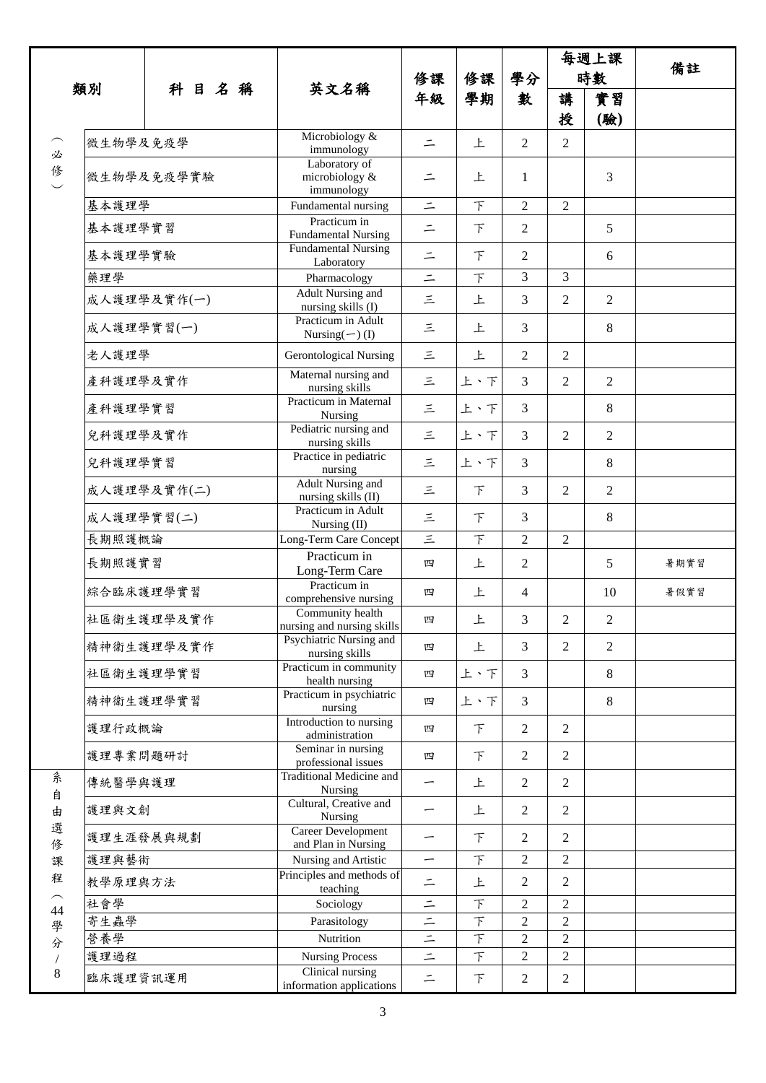|                |            |             |                                                  | 修課                       | 修課             | 學分             |                | 每週上課           |      |
|----------------|------------|-------------|--------------------------------------------------|--------------------------|----------------|----------------|----------------|----------------|------|
|                |            |             |                                                  |                          |                |                | 時數             |                | 備註   |
| 類別             |            | 科目名稱        | 英文名稱                                             | 年級                       | 學期             | 數              | 講<br>授         | 實習<br>(驗)      |      |
| 必              | 微生物學及免疫學   |             | Microbiology &<br>immunology                     | $\equiv$                 | 上              | $\overline{2}$ | $\overline{2}$ |                |      |
| 修一             |            | 微生物學及免疫學實驗  | Laboratory of<br>microbiology &<br>immunology    | $\equiv$                 | 上              | 1              |                | 3              |      |
|                | 基本護理學      |             | Fundamental nursing                              | $\equiv$                 | F              | $\overline{2}$ | $\mathfrak{2}$ |                |      |
|                | 基本護理學實習    |             | Practicum in<br><b>Fundamental Nursing</b>       | $\equiv$                 | F              | $\overline{2}$ |                | 5              |      |
|                | 基本護理學實驗    |             | <b>Fundamental Nursing</b><br>Laboratory         | $\equiv$                 | $\top$         | $\overline{2}$ |                | 6              |      |
|                | 藥理學        |             | Pharmacology                                     | $\equiv$                 | $\top$         | $\overline{3}$ | 3              |                |      |
|                |            | 成人護理學及實作(一) | Adult Nursing and<br>nursing skills (I)          | $\leq$                   | 上              | 3              | $\overline{2}$ | $\overline{2}$ |      |
|                | 成人護理學實習(一) |             | Practicum in Adult<br>Nursing $(-)$ (I)          | 三                        | 上              | 3              |                | 8              |      |
|                | 老人護理學      |             | <b>Gerontological Nursing</b>                    | $\equiv$                 | 上              | $\overline{2}$ | $\overline{2}$ |                |      |
|                | 產科護理學及實作   |             | Maternal nursing and<br>nursing skills           | $\leq$                   | 上、下            | 3              | $\overline{2}$ | $\overline{2}$ |      |
|                | 產科護理學實習    |             | Practicum in Maternal<br>Nursing                 | $\equiv$                 | 上、下            | 3              |                | 8              |      |
|                | 兒科護理學及實作   |             | Pediatric nursing and<br>nursing skills          | $\equiv$                 | 上、下            | $\overline{3}$ | $\overline{2}$ | $\overline{2}$ |      |
|                | 兒科護理學實習    |             | Practice in pediatric<br>nursing                 | 三                        | 上、下            | 3              |                | 8              |      |
|                |            | 成人護理學及實作(二) | <b>Adult Nursing and</b><br>nursing skills (II)  | 三                        | $\top$         | 3              | $\overline{2}$ | $\overline{2}$ |      |
|                | 成人護理學實習(二) |             | Practicum in Adult<br>Nursing (II)               | $\equiv$                 | 下              | 3              |                | 8              |      |
|                | 長期照護概論     |             | Long-Term Care Concept                           | 三                        | F              | $\overline{2}$ | $\overline{2}$ |                |      |
|                | 長期照護實習     |             | Practicum in<br>Long-Term Care                   | 四                        | 上              | $\overline{2}$ |                | 5              | 暑期實習 |
|                | 綜合臨床護理學實習  |             | Practicum in<br>comprehensive nursing            | 四                        | 上              | $\overline{4}$ |                | 10             | 暑假實習 |
|                |            | 社區衛生護理學及實作  | Community health<br>nursing and nursing skills   | 四                        | 上              | 3              | $\overline{2}$ | $\overline{2}$ |      |
|                |            | 精神衛生護理學及實作  | Psychiatric Nursing and<br>nursing skills        | 四                        | 上              | 3              | $\overline{2}$ | $\overline{2}$ |      |
|                | 社區衛生護理學實習  |             | Practicum in community<br>health nursing         | 四                        | 上、下            | 3              |                | 8              |      |
|                | 精神衛生護理學實習  |             | Practicum in psychiatric<br>nursing              | 四                        | 上、下            | 3              |                | 8              |      |
|                | 護理行政概論     |             | Introduction to nursing<br>administration        | 四                        | 下              | $\sqrt{2}$     | $\overline{2}$ |                |      |
|                | 護理專業問題研討   |             | Seminar in nursing<br>professional issues        | 四                        | 下              | $\mathfrak{2}$ | $\mathfrak{2}$ |                |      |
| 糸<br>自         | 傳統醫學與護理    |             | <b>Traditional Medicine and</b><br>Nursing       |                          | 上              | $\overline{2}$ | $\overline{2}$ |                |      |
| 由              | 護理與文創      |             | Cultural, Creative and<br>Nursing                | —                        | 上              | $\overline{2}$ | $\overline{2}$ |                |      |
| 選<br>修         | 護理生涯發展與規劃  |             | <b>Career Development</b><br>and Plan in Nursing | $\overline{\phantom{0}}$ | 下              | $\overline{2}$ | $\overline{2}$ |                |      |
| 課              | 護理與藝術      |             | Nursing and Artistic                             | $\overline{\phantom{0}}$ | $\top$         | $\mathbf{2}$   | $\overline{2}$ |                |      |
| 程              | 教學原理與方法    |             | Principles and methods of<br>teaching            | $\equiv$                 | 上              | $\mathbf{2}$   | $\overline{2}$ |                |      |
| 44             | 社會學        |             | Sociology                                        | $\equiv$                 | $\top$         | $\overline{2}$ | $\overline{2}$ |                |      |
| 學              | 寄生蟲學       |             | Parasitology                                     | $\equiv$                 | $\top$         | $\overline{c}$ | $\overline{2}$ |                |      |
| 分              | 營養學        |             | Nutrition                                        | $\equiv$                 | $\top$         | $\overline{c}$ | $\overline{c}$ |                |      |
| $\overline{ }$ | 護理過程       |             | <b>Nursing Process</b>                           | $\equiv$                 | $\overline{F}$ | $\overline{2}$ | $\sqrt{2}$     |                |      |
| $8\phantom{1}$ | 臨床護理資訊運用   |             | Clinical nursing<br>information applications     | $\equiv$                 | 下              | $\overline{2}$ | $\mathbf{2}$   |                |      |